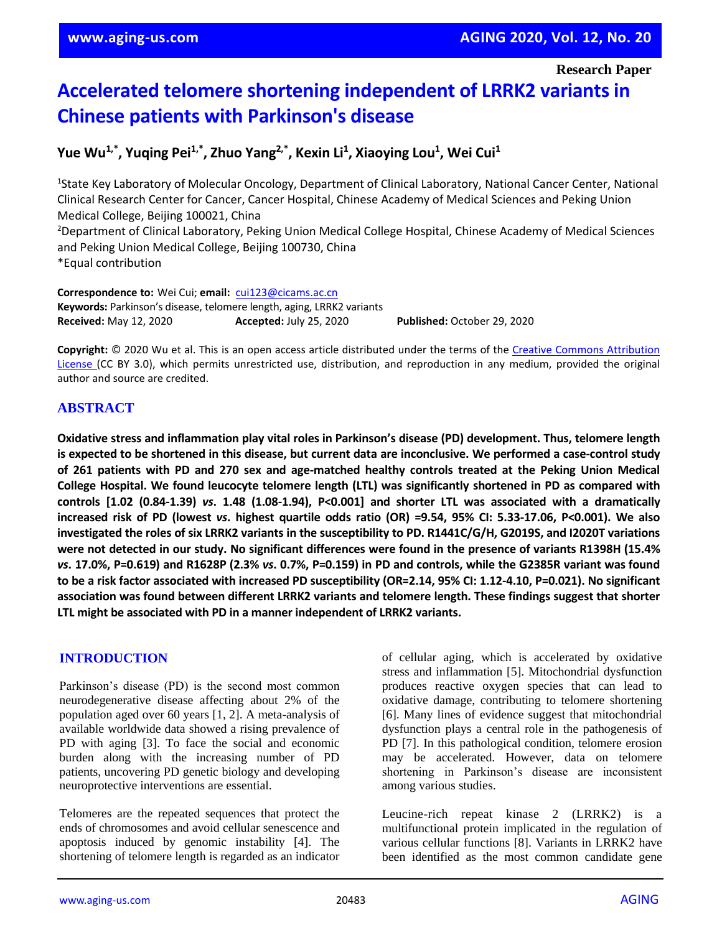**Research Paper**

# **Accelerated telomere shortening independent of LRRK2 variants in Chinese patients with Parkinson's disease**

**Yue Wu1,\* , Yuqing Pei1,\* , Zhuo Yang2,\* , Kexin Li<sup>1</sup> , Xiaoying Lou<sup>1</sup> , Wei Cui<sup>1</sup>**

<sup>1</sup>State Key Laboratory of Molecular Oncology, Department of Clinical Laboratory, National Cancer Center, National Clinical Research Center for Cancer, Cancer Hospital, Chinese Academy of Medical Sciences and Peking Union Medical College, Beijing 100021, China <sup>2</sup>Department of Clinical Laboratory, Peking Union Medical College Hospital, Chinese Academy of Medical Sciences and Peking Union Medical College, Beijing 100730, China \*Equal contribution

**Correspondence to:** Wei Cui; **email:** [cui123@cicams.ac.cn](mailto:cui123@cicams.ac.cn) **Keywords:** Parkinson's disease, telomere length, aging, LRRK2 variants **Received:** May 12, 2020 **Accepted:** July 25, 2020 **Published:** October 29, 2020

**Copyright:** © 2020 Wu et al. This is an open access article distributed under the terms of the [Creative Commons Attribution](https://creativecommons.org/licenses/by/3.0/)  [License \(](https://creativecommons.org/licenses/by/3.0/)CC BY 3.0), which permits unrestricted use, distribution, and reproduction in any medium, provided the original author and source are credited.

# **ABSTRACT**

**Oxidative stress and inflammation play vital roles in Parkinson's disease (PD) development. Thus, telomere length** is expected to be shortened in this disease, but current data are inconclusive. We performed a case-control study of 261 patients with PD and 270 sex and age-matched healthy controls treated at the Peking Union Medical **College Hospital. We found leucocyte telomere length (LTL) was significantly shortened in PD as compared with controls [1.02 (0.84-1.39)** *vs***. 1.48 (1.08-1.94), P<0.001] and shorter LTL was associated with a dramatically** increased risk of PD (lowest vs. highest quartile odds ratio (OR) =9.54, 95% CI: 5.33-17.06, P<0.001). We also investigated the roles of six LRRK2 variants in the susceptibility to PD. R1441C/G/H, G2019S, and I2020T variations were not detected in our study. No significant differences were found in the presence of variants R1398H (15.4% vs. 17.0%, P=0.619) and R1628P (2.3% vs. 0.7%, P=0.159) in PD and controls, while the G2385R variant was found to be a risk factor associated with increased PD susceptibility (OR=2.14, 95% CI: 1.12-4.10, P=0.021). No significant **association was found between different LRRK2 variants and telomere length. These findings suggest that shorter LTL might be associated with PD in a manner independent of LRRK2 variants.**

## **INTRODUCTION**

Parkinson's disease (PD) is the second most common neurodegenerative disease affecting about 2% of the population aged over 60 years [1, 2]. A meta-analysis of available worldwide data showed a rising prevalence of PD with aging [3]. To face the social and economic burden along with the increasing number of PD patients, uncovering PD genetic biology and developing neuroprotective interventions are essential.

Telomeres are the repeated sequences that protect the ends of chromosomes and avoid cellular senescence and apoptosis induced by genomic instability [4]. The shortening of telomere length is regarded as an indicator of cellular aging, which is accelerated by oxidative stress and inflammation [5]. Mitochondrial dysfunction produces reactive oxygen species that can lead to oxidative damage, contributing to telomere shortening [6]. Many lines of evidence suggest that mitochondrial dysfunction plays a central role in the pathogenesis of PD [7]. In this pathological condition, telomere erosion may be accelerated. However, data on telomere shortening in Parkinson's disease are inconsistent among various studies.

Leucine-rich repeat kinase 2 (LRRK2) is a multifunctional protein implicated in the regulation of various cellular functions [8]. Variants in LRRK2 have been identified as the most common candidate gene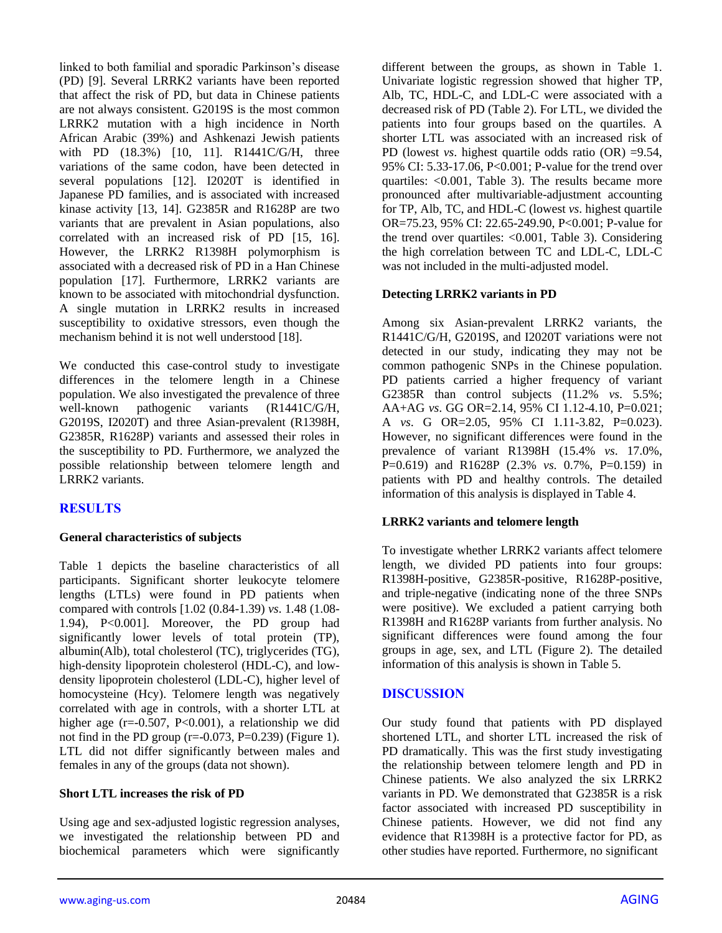linked to both familial and sporadic Parkinson's disease (PD) [9]. Several LRRK2 variants have been reported that affect the risk of PD, but data in Chinese patients are not always consistent. G2019S is the most common LRRK2 mutation with a high incidence in North African Arabic (39%) and Ashkenazi Jewish patients with PD (18.3%) [10, 11]. R1441C/G/H, three variations of the same codon, have been detected in several populations [12]. I2020T is identified in Japanese PD families, and is associated with increased kinase activity [13, 14]. G2385R and R1628P are two variants that are prevalent in Asian populations, also correlated with an increased risk of PD [15, 16]. However, the LRRK2 R1398H polymorphism is associated with a decreased risk of PD in a Han Chinese population [17]. Furthermore, LRRK2 variants are known to be associated with mitochondrial dysfunction. A single mutation in LRRK2 results in increased susceptibility to oxidative stressors, even though the mechanism behind it is not well understood [18].

We conducted this case-control study to investigate differences in the telomere length in a Chinese population. We also investigated the prevalence of three well-known pathogenic variants (R1441C/G/H, G2019S, I2020T) and three Asian-prevalent (R1398H, G2385R, R1628P) variants and assessed their roles in the susceptibility to PD. Furthermore, we analyzed the possible relationship between telomere length and LRRK2 variants.

# **RESULTS**

#### **General characteristics of subjects**

Table 1 depicts the baseline characteristics of all participants. Significant shorter leukocyte telomere lengths (LTLs) were found in PD patients when compared with controls [1.02 (0.84-1.39) *vs*. 1.48 (1.08- 1.94), P<0.001]. Moreover, the PD group had significantly lower levels of total protein (TP), albumin(Alb), total cholesterol (TC), triglycerides (TG), high-density lipoprotein cholesterol (HDL-C), and lowdensity lipoprotein cholesterol (LDL-C), higher level of homocysteine (Hcy). Telomere length was negatively correlated with age in controls, with a shorter LTL at higher age (r=-0.507, P<0.001), a relationship we did not find in the PD group ( $r=0.073$ , P=0.239) (Figure 1). LTL did not differ significantly between males and females in any of the groups (data not shown).

#### **Short LTL increases the risk of PD**

Using age and sex-adjusted logistic regression analyses, we investigated the relationship between PD and biochemical parameters which were significantly different between the groups, as shown in Table 1. Univariate logistic regression showed that higher TP, Alb, TC, HDL-C, and LDL-C were associated with a decreased risk of PD (Table 2). For LTL, we divided the patients into four groups based on the quartiles. A shorter LTL was associated with an increased risk of PD (lowest *vs*. highest quartile odds ratio (OR) =9.54, 95% CI: 5.33-17.06, P<0.001; P-value for the trend over quartiles: <0.001, Table 3). The results became more pronounced after multivariable-adjustment accounting for TP, Alb, TC, and HDL-C (lowest *vs*. highest quartile OR=75.23, 95% CI: 22.65-249.90, P<0.001; P-value for the trend over quartiles: <0.001, Table 3). Considering the high correlation between TC and LDL-C, LDL-C was not included in the multi-adjusted model.

#### **Detecting LRRK2 variants in PD**

Among six Asian-prevalent LRRK2 variants, the R1441C/G/H, G2019S, and I2020T variations were not detected in our study, indicating they may not be common pathogenic SNPs in the Chinese population. PD patients carried a higher frequency of variant G2385R than control subjects (11.2% *vs*. 5.5%; AA+AG *vs*. GG OR=2.14, 95% CI 1.12-4.10, P=0.021; A *vs*. G OR=2.05, 95% CI 1.11-3.82, P=0.023). However, no significant differences were found in the prevalence of variant R1398H (15.4% *vs*. 17.0%, P=0.619) and R1628P (2.3% *vs*. 0.7%, P=0.159) in patients with PD and healthy controls. The detailed information of this analysis is displayed in Table 4.

#### **LRRK2 variants and telomere length**

To investigate whether LRRK2 variants affect telomere length, we divided PD patients into four groups: R1398H-positive, G2385R-positive, R1628P-positive, and triple-negative (indicating none of the three SNPs were positive). We excluded a patient carrying both R1398H and R1628P variants from further analysis. No significant differences were found among the four groups in age, sex, and LTL (Figure 2). The detailed information of this analysis is shown in Table 5.

## **DISCUSSION**

Our study found that patients with PD displayed shortened LTL, and shorter LTL increased the risk of PD dramatically. This was the first study investigating the relationship between telomere length and PD in Chinese patients. We also analyzed the six LRRK2 variants in PD. We demonstrated that G2385R is a risk factor associated with increased PD susceptibility in Chinese patients. However, we did not find any evidence that R1398H is a protective factor for PD, as other studies have reported. Furthermore, no significant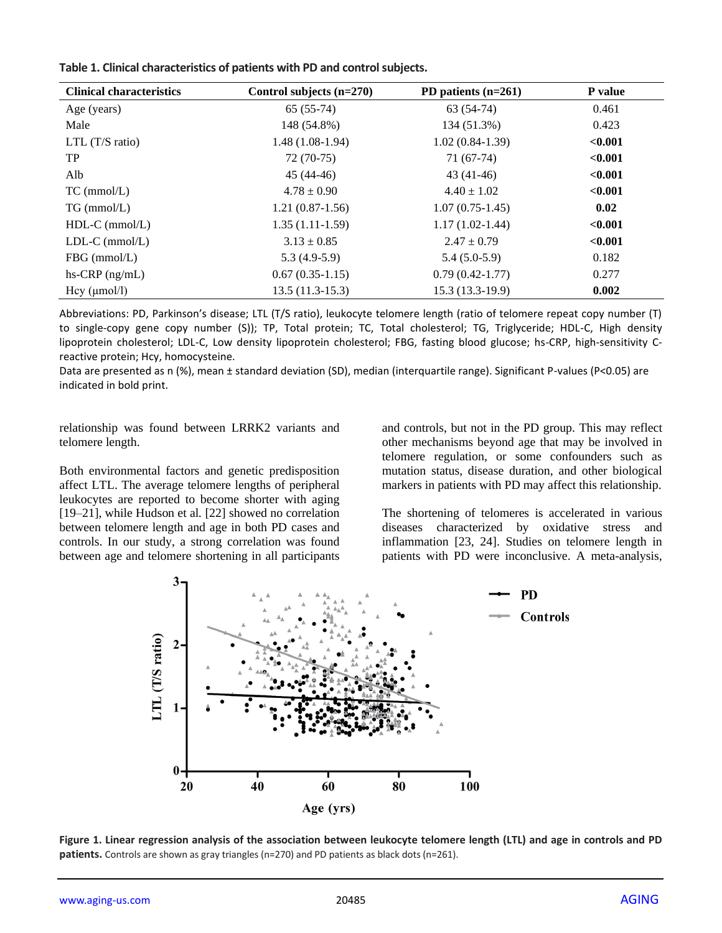| Table 1. Clinical characteristics of patients with PD and control subjects. |  |  |
|-----------------------------------------------------------------------------|--|--|
|-----------------------------------------------------------------------------|--|--|

| <b>Clinical characteristics</b> | Control subjects $(n=270)$ | PD patients $(n=261)$ | P value |
|---------------------------------|----------------------------|-----------------------|---------|
| Age (years)                     | $65(55-74)$                | $63(54-74)$           | 0.461   |
| Male                            | 148 (54.8%)                | 134 (51.3%)           | 0.423   |
| LTL $(T/S \; ratio)$            | $1.48(1.08-1.94)$          | $1.02(0.84-1.39)$     | < 0.001 |
| TP                              | $72(70-75)$                | 71 (67-74)            | < 0.001 |
| Alb                             | $45(44-46)$                | $43(41-46)$           | < 0.001 |
| $TC$ (mmol/L)                   | $4.78 \pm 0.90$            | $4.40 \pm 1.02$       | < 0.001 |
| $TG$ (mmol/L)                   | $1.21(0.87-1.56)$          | $1.07(0.75-1.45)$     | 0.02    |
| $HDL-C$ (mmol/L)                | $1.35(1.11-1.59)$          | $1.17(1.02-1.44)$     | < 0.001 |
| $LDL-C$ (mmol/ $L$ )            | $3.13 \pm 0.85$            | $2.47 \pm 0.79$       | < 0.001 |
| $FBG$ (mmol/L)                  | $5.3(4.9-5.9)$             | $5.4(5.0-5.9)$        | 0.182   |
| $hs-CRP$ (ng/mL)                | $0.67(0.35-1.15)$          | $0.79(0.42 - 1.77)$   | 0.277   |
| Hcy (µmol/l)                    | $13.5(11.3-15.3)$          | $15.3(13.3-19.9)$     | 0.002   |

Abbreviations: PD, Parkinson's disease; LTL (T/S ratio), leukocyte telomere length (ratio of telomere repeat copy number (T) to single-copy gene copy number (S)); TP, Total protein; TC, Total cholesterol; TG, Triglyceride; HDL-C, High density lipoprotein cholesterol; LDL-C, Low density lipoprotein cholesterol; FBG, fasting blood glucose; hs-CRP, high-sensitivity Creactive protein; Hcy, homocysteine.

Data are presented as n (%), mean ± standard deviation (SD), median (interquartile range). Significant P-values (P<0.05) are indicated in bold print.

relationship was found between LRRK2 variants and telomere length.

Both environmental factors and genetic predisposition affect LTL. The average telomere lengths of peripheral leukocytes are reported to become shorter with aging [19–21], while Hudson et al*.* [22] showed no correlation between telomere length and age in both PD cases and controls. In our study, a strong correlation was found between age and telomere shortening in all participants and controls, but not in the PD group. This may reflect other mechanisms beyond age that may be involved in telomere regulation, or some confounders such as mutation status, disease duration, and other biological markers in patients with PD may affect this relationship.

The shortening of telomeres is accelerated in various diseases characterized by oxidative stress and inflammation [23, 24]. Studies on telomere length in patients with PD were inconclusive. A meta-analysis,



**Figure 1. Linear regression analysis of the association between leukocyte telomere length (LTL) and age in controls and PD patients.** Controls are shown as gray triangles (n=270) and PD patients as black dots (n=261).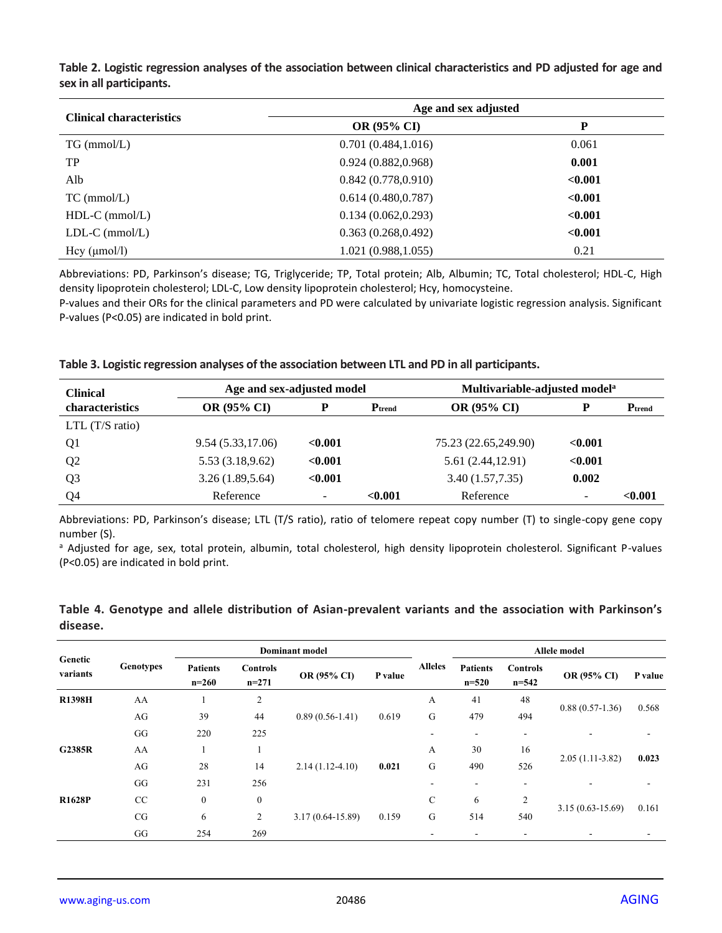| <b>Clinical characteristics</b> | Age and sex adjusted |         |  |  |
|---------------------------------|----------------------|---------|--|--|
|                                 | <b>OR (95% CI)</b>   | P       |  |  |
| $TG$ (mmol/L)                   | 0.701(0.484, 1.016)  | 0.061   |  |  |
| TP                              | 0.924(0.882, 0.968)  | 0.001   |  |  |
| Alb                             | 0.842(0.778, 0.910)  | < 0.001 |  |  |
| $TC$ (mmol/L)                   | 0.614(0.480, 0.787)  | < 0.001 |  |  |
| $HDL-C$ (mmol/L)                | 0.134(0.062, 0.293)  | < 0.001 |  |  |
| $LDL-C$ (mmol/L)                | 0.363(0.268, 0.492)  | < 0.001 |  |  |
| Hcy (µmol/l)                    | 1.021 (0.988, 1.055) | 0.21    |  |  |

**Table 2. Logistic regression analyses of the association between clinical characteristics and PD adjusted for age and sex in all participants.**

Abbreviations: PD, Parkinson's disease; TG, Triglyceride; TP, Total protein; Alb, Albumin; TC, Total cholesterol; HDL-C, High density lipoprotein cholesterol; LDL-C, Low density lipoprotein cholesterol; Hcy, homocysteine.

P-values and their ORs for the clinical parameters and PD were calculated by univariate logistic regression analysis. Significant P-values (P<0.05) are indicated in bold print.

|  |  |  | Table 3. Logistic regression analyses of the association between LTL and PD in all participants. |
|--|--|--|--------------------------------------------------------------------------------------------------|
|--|--|--|--------------------------------------------------------------------------------------------------|

| <b>Clinical</b>      | Age and sex-adjusted model |                          | Multivariable-adjusted model <sup>a</sup> |                      |         |             |
|----------------------|----------------------------|--------------------------|-------------------------------------------|----------------------|---------|-------------|
| characteristics      | <b>OR (95% CI)</b>         | P                        | $P_{\text{trend}}$                        | <b>OR (95% CI)</b>   |         | $P_{trend}$ |
| LTL $(T/S \; ratio)$ |                            |                          |                                           |                      |         |             |
| Q <sub>1</sub>       | 9.54 (5.33,17.06)          | < 0.001                  |                                           | 75.23 (22.65,249.90) | < 0.001 |             |
| Q <sub>2</sub>       | 5.53 (3.18,9.62)           | < 0.001                  |                                           | 5.61 (2.44,12.91)    | < 0.001 |             |
| Q <sub>3</sub>       | 3.26(1.89, 5.64)           | < 0.001                  |                                           | 3.40 (1.57,7.35)     | 0.002   |             |
| Q <sub>4</sub>       | Reference                  | $\overline{\phantom{0}}$ | < 0.001                                   | Reference            | -       | < 0.001     |

Abbreviations: PD, Parkinson's disease; LTL (T/S ratio), ratio of telomere repeat copy number (T) to single-copy gene copy number (S).

a Adjusted for age, sex, total protein, albumin, total cholesterol, high density lipoprotein cholesterol. Significant P-values (P<0.05) are indicated in bold print.

|                     |           | <b>Dominant</b> model      |                            |                      |         | Allele model   |                              |                              |                      |         |
|---------------------|-----------|----------------------------|----------------------------|----------------------|---------|----------------|------------------------------|------------------------------|----------------------|---------|
| Genetic<br>variants | Genotypes | <b>Patients</b><br>$n=260$ | <b>Controls</b><br>$n=271$ | OR (95% CI)          | P value | <b>Alleles</b> | <b>Patients</b><br>$n = 520$ | <b>Controls</b><br>$n = 542$ | OR (95% CI)          | P value |
| <b>R1398H</b>       | AA        |                            | 2                          |                      |         | А              | 41                           | 48                           |                      |         |
|                     | AG        | 39                         | 44                         | $0.89(0.56-1.41)$    | 0.619   | G              | 479                          | 494                          | $0.88(0.57-1.36)$    | 0.568   |
|                     | GG        | 220                        | 225                        |                      |         | ۰              | $\overline{\phantom{a}}$     | ٠                            |                      |         |
| G2385R              | AA        |                            | 1                          |                      |         | А              | 30                           | 16                           |                      |         |
|                     | AG        | 28                         | 14                         | $2.14(1.12-4.10)$    | 0.021   | G              | 490                          | 526                          | $2.05(1.11-3.82)$    | 0.023   |
|                     | GG        | 231                        | 256                        |                      |         |                | ۰.                           | ٠                            |                      |         |
| <b>R1628P</b>       | CC        | $\mathbf{0}$               | $\mathbf{0}$               |                      |         | $\mathsf{C}$   | 6                            | $\overline{2}$               |                      | 0.161   |
|                     | CG        | 6                          | 2                          | $3.17(0.64 - 15.89)$ | 0.159   | G              | 514                          | 540                          | $3.15(0.63 - 15.69)$ |         |
|                     | GG        | 254                        | 269                        |                      |         |                | ۰                            | $\overline{\phantom{a}}$     | ۰                    |         |

**Table 4. Genotype and allele distribution of Asian-prevalent variants and the association with Parkinson's disease.**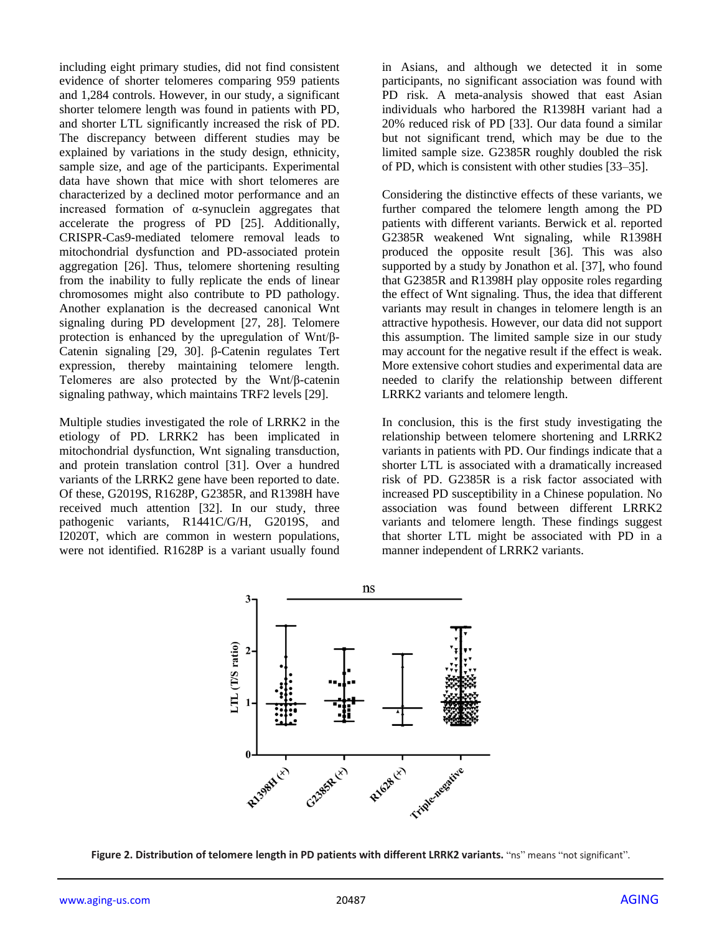including eight primary studies, did not find consistent evidence of shorter telomeres comparing 959 patients and 1,284 controls. However, in our study, a significant shorter telomere length was found in patients with PD, and shorter LTL significantly increased the risk of PD. The discrepancy between different studies may be explained by variations in the study design, ethnicity, sample size, and age of the participants. Experimental data have shown that mice with short telomeres are characterized by a declined motor performance and an increased formation of α-synuclein aggregates that accelerate the progress of PD [25]. Additionally, CRISPR-Cas9-mediated telomere removal leads to mitochondrial dysfunction and PD-associated protein aggregation [26]. Thus, telomere shortening resulting from the inability to fully replicate the ends of linear chromosomes might also contribute to PD pathology. Another explanation is the decreased canonical Wnt signaling during PD development [27, 28]. Telomere protection is enhanced by the upregulation of Wnt/β-Catenin signaling [29, 30]. β-Catenin regulates Tert expression, thereby maintaining telomere length. Telomeres are also protected by the Wnt/β-catenin signaling pathway, which maintains TRF2 levels [29].

Multiple studies investigated the role of LRRK2 in the etiology of PD. LRRK2 has been implicated in mitochondrial dysfunction, Wnt signaling transduction, and protein translation control [31]. Over a hundred variants of the LRRK2 gene have been reported to date. Of these, G2019S, R1628P, G2385R, and R1398H have received much attention [32]. In our study, three pathogenic variants, R1441C/G/H, G2019S, and I2020T, which are common in western populations, were not identified. R1628P is a variant usually found

in Asians, and although we detected it in some participants, no significant association was found with PD risk. A meta-analysis showed that east Asian individuals who harbored the R1398H variant had a 20% reduced risk of PD [33]. Our data found a similar but not significant trend, which may be due to the limited sample size. G2385R roughly doubled the risk of PD, which is consistent with other studies [33–35].

Considering the distinctive effects of these variants, we further compared the telomere length among the PD patients with different variants. Berwick et al. reported G2385R weakened Wnt signaling, while R1398H produced the opposite result [36]. This was also supported by a study by Jonathon et al. [37], who found that G2385R and R1398H play opposite roles regarding the effect of Wnt signaling. Thus, the idea that different variants may result in changes in telomere length is an attractive hypothesis. However, our data did not support this assumption. The limited sample size in our study may account for the negative result if the effect is weak. More extensive cohort studies and experimental data are needed to clarify the relationship between different LRRK2 variants and telomere length.

In conclusion, this is the first study investigating the relationship between telomere shortening and LRRK2 variants in patients with PD. Our findings indicate that a shorter LTL is associated with a dramatically increased risk of PD. G2385R is a risk factor associated with increased PD susceptibility in a Chinese population. No association was found between different LRRK2 variants and telomere length. These findings suggest that shorter LTL might be associated with PD in a manner independent of LRRK2 variants.



**Figure 2. Distribution of telomere length in PD patients with different LRRK2 variants.** "ns" means "not significant".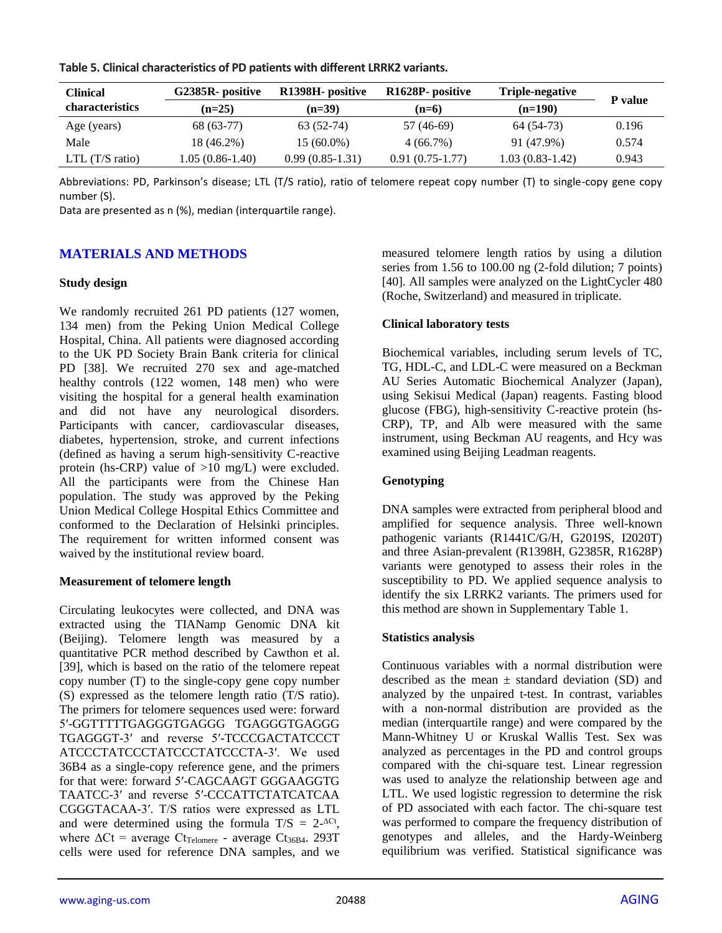| <b>Clinical</b>           | G2385R- positive  | R <sub>1398</sub> H - positive | R <sub>1628</sub> P- positive | Triple-negative   | P value |
|---------------------------|-------------------|--------------------------------|-------------------------------|-------------------|---------|
| <b>characteristics</b>    | $(n=25)$          | $(n=39)$                       | $(n=6)$                       | $(n=190)$         |         |
| Age (years)               | 68 (63-77)        | 63 (52-74)                     | 57 (46-69)                    | 64 (54-73)        | 0.196   |
| Male                      | 18 (46.2%)        | $15(60.0\%)$                   | $4(66.7\%)$                   | 91 (47.9%)        | 0.574   |
| LTL $(T/S \text{ ratio})$ | $1.05(0.86-1.40)$ | $0.99(0.85-1.31)$              | $0.91(0.75-1.77)$             | $1.03(0.83-1.42)$ | 0.943   |

**Table 5. Clinical characteristics of PD patients with different LRRK2 variants.**

Abbreviations: PD, Parkinson's disease; LTL (T/S ratio), ratio of telomere repeat copy number (T) to single-copy gene copy number (S).

Data are presented as n (%), median (interquartile range).

# **MATERIALS AND METHODS**

#### **Study design**

We randomly recruited 261 PD patients (127 women, 134 men) from the Peking Union Medical College Hospital, China. All patients were diagnosed according to the UK PD Society Brain Bank criteria for clinical PD [38]. We recruited 270 sex and age-matched healthy controls (122 women, 148 men) who were visiting the hospital for a general health examination and did not have any neurological disorders. Participants with cancer, cardiovascular diseases, diabetes, hypertension, stroke, and current infections (defined as having a serum high-sensitivity C-reactive protein (hs-CRP) value of >10 mg/L) were excluded. All the participants were from the Chinese Han population. The study was approved by the Peking Union Medical College Hospital Ethics Committee and conformed to the Declaration of Helsinki principles. The requirement for written informed consent was waived by the institutional review board.

## **Measurement of telomere length**

Circulating leukocytes were collected, and DNA was extracted using the TIANamp Genomic DNA kit (Beijing). Telomere length was measured by a quantitative PCR method described by Cawthon et al. [39], which is based on the ratio of the telomere repeat copy number (T) to the single-copy gene copy number (S) expressed as the telomere length ratio (T/S ratio). The primers for telomere sequences used were: forward 5′-GGTTTTTGAGGGTGAGGG TGAGGGTGAGGG TGAGGGT-3′ and reverse 5′-TCCCGACTATCCCT ATCCCTATCCCTATCCCTATCCCTA-3′. We used 36B4 as a single-copy reference gene, and the primers for that were: forward 5′-CAGCAAGT GGGAAGGTG TAATCC-3′ and reverse 5′-CCCATTCTATCATCAA CGGGTACAA-3′. T/S ratios were expressed as LTL and were determined using the formula  $T/S = 2^{-\Delta Ct}$ , where  $\Delta$ Ct = average Ct<sub>Telomere</sub> - average Ct<sub>36B4</sub>. 293T cells were used for reference DNA samples, and we

measured telomere length ratios by using a dilution series from 1.56 to 100.00 ng (2-fold dilution; 7 points) [40]. All samples were analyzed on the LightCycler 480 (Roche, Switzerland) and measured in triplicate.

## **Clinical laboratory tests**

Biochemical variables, including serum levels of TC, TG, HDL-C, and LDL-C were measured on a Beckman AU Series Automatic Biochemical Analyzer (Japan), using Sekisui Medical (Japan) reagents. Fasting blood glucose (FBG), high-sensitivity C-reactive protein (hs-CRP), TP, and Alb were measured with the same instrument, using Beckman AU reagents, and Hcy was examined using Beijing Leadman reagents.

## **Genotyping**

DNA samples were extracted from peripheral blood and amplified for sequence analysis. Three well-known pathogenic variants (R1441C/G/H, G2019S, I2020T) and three Asian-prevalent (R1398H, G2385R, R1628P) variants were genotyped to assess their roles in the susceptibility to PD. We applied sequence analysis to identify the six LRRK2 variants. The primers used for this method are shown in Supplementary Table 1.

## **Statistics analysis**

Continuous variables with a normal distribution were described as the mean  $\pm$  standard deviation (SD) and analyzed by the unpaired t-test. In contrast, variables with a non-normal distribution are provided as the median (interquartile range) and were compared by the Mann-Whitney U or Kruskal Wallis Test. Sex was analyzed as percentages in the PD and control groups compared with the chi-square test. Linear regression was used to analyze the relationship between age and LTL. We used logistic regression to determine the risk of PD associated with each factor. The chi-square test was performed to compare the frequency distribution of genotypes and alleles, and the Hardy-Weinberg equilibrium was verified. Statistical significance was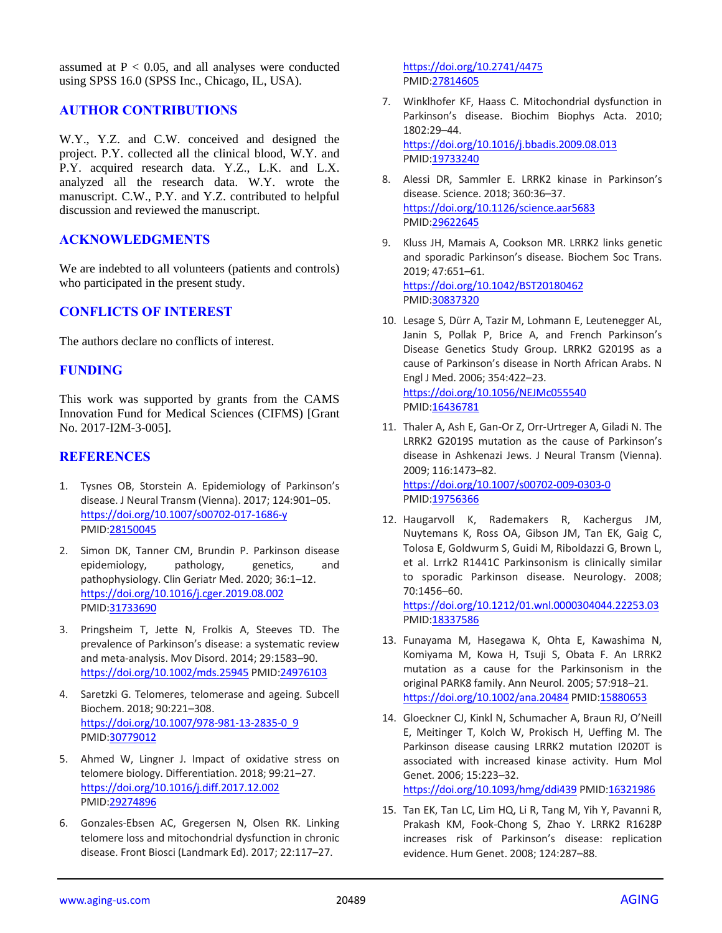assumed at  $P < 0.05$ , and all analyses were conducted using SPSS 16.0 (SPSS Inc., Chicago, IL, USA).

## **AUTHOR CONTRIBUTIONS**

W.Y., Y.Z. and C.W. conceived and designed the project. P.Y. collected all the clinical blood, W.Y. and P.Y. acquired research data. Y.Z., L.K. and L.X. analyzed all the research data. W.Y. wrote the manuscript. C.W., P.Y. and Y.Z. contributed to helpful discussion and reviewed the manuscript.

## **ACKNOWLEDGMENTS**

We are indebted to all volunteers (patients and controls) who participated in the present study.

## **CONFLICTS OF INTEREST**

The authors declare no conflicts of interest.

## **FUNDING**

This work was supported by grants from the CAMS Innovation Fund for Medical Sciences (CIFMS) [Grant No. 2017-I2M-3-005].

## **REFERENCES**

- 1. Tysnes OB, Storstein A. Epidemiology of Parkinson's disease. J Neural Transm (Vienna). 2017; 124:901–05. <https://doi.org/10.1007/s00702-017-1686-y> PMID[:28150045](https://pubmed.ncbi.nlm.nih.gov/28150045)
- 2. Simon DK, Tanner CM, Brundin P. Parkinson disease epidemiology, pathology, genetics, and pathophysiology. Clin Geriatr Med. 2020; 36:1–12. <https://doi.org/10.1016/j.cger.2019.08.002> PMID[:31733690](https://pubmed.ncbi.nlm.nih.gov/31733690)
- 3. Pringsheim T, Jette N, Frolkis A, Steeves TD. The prevalence of Parkinson's disease: a systematic review and meta-analysis. Mov Disord. 2014; 29:1583–90. <https://doi.org/10.1002/mds.25945> PMID[:24976103](https://pubmed.ncbi.nlm.nih.gov/24976103)
- 4. Saretzki G. Telomeres, telomerase and ageing. Subcell Biochem. 2018; 90:221–308. [https://doi.org/10.1007/978-981-13-2835-0\\_9](https://doi.org/10.1007/978-981-13-2835-0_9) PMID[:30779012](https://pubmed.ncbi.nlm.nih.gov/30779012)
- 5. Ahmed W, Lingner J. Impact of oxidative stress on telomere biology. Differentiation. 2018; 99:21–27. <https://doi.org/10.1016/j.diff.2017.12.002> PMID[:29274896](https://pubmed.ncbi.nlm.nih.gov/29274896)
- 6. Gonzales-Ebsen AC, Gregersen N, Olsen RK. Linking telomere loss and mitochondrial dysfunction in chronic disease. Front Biosci (Landmark Ed). 2017; 22:117–27.

<https://doi.org/10.2741/4475> PMI[D:27814605](https://pubmed.ncbi.nlm.nih.gov/27814605)

- 7. Winklhofer KF, Haass C. Mitochondrial dysfunction in Parkinson's disease. Biochim Biophys Acta. 2010; 1802:29–44. <https://doi.org/10.1016/j.bbadis.2009.08.013> PMI[D:19733240](https://pubmed.ncbi.nlm.nih.gov/19733240)
- 8. Alessi DR, Sammler E. LRRK2 kinase in Parkinson's disease. Science. 2018; 360:36–37. <https://doi.org/10.1126/science.aar5683> PMI[D:29622645](https://pubmed.ncbi.nlm.nih.gov/29622645)
- 9. Kluss JH, Mamais A, Cookson MR. LRRK2 links genetic and sporadic Parkinson's disease. Biochem Soc Trans. 2019; 47:651–61. <https://doi.org/10.1042/BST20180462> PMI[D:30837320](https://pubmed.ncbi.nlm.nih.gov/30837320)
- 10. Lesage S, Dürr A, Tazir M, Lohmann E, Leutenegger AL, Janin S, Pollak P, Brice A, and French Parkinson's Disease Genetics Study Group. LRRK2 G2019S as a cause of Parkinson's disease in North African Arabs. N Engl J Med. 2006; 354:422–23. <https://doi.org/10.1056/NEJMc055540> PMI[D:16436781](https://pubmed.ncbi.nlm.nih.gov/16436781)
- 11. Thaler A, Ash E, Gan-Or Z, Orr-Urtreger A, Giladi N. The LRRK2 G2019S mutation as the cause of Parkinson's disease in Ashkenazi Jews. J Neural Transm (Vienna). 2009; 116:1473–82. <https://doi.org/10.1007/s00702-009-0303-0> PMID: 19756366
- 12. Haugarvoll K, Rademakers R, Kachergus JM, Nuytemans K, Ross OA, Gibson JM, Tan EK, Gaig C, Tolosa E, Goldwurm S, Guidi M, Riboldazzi G, Brown L, et al. Lrrk2 R1441C Parkinsonism is clinically similar to sporadic Parkinson disease. Neurology. 2008; 70:1456–60. <https://doi.org/10.1212/01.wnl.0000304044.22253.03>

PMI[D:18337586](https://pubmed.ncbi.nlm.nih.gov/18337586)

- 13. Funayama M, Hasegawa K, Ohta E, Kawashima N, Komiyama M, Kowa H, Tsuji S, Obata F. An LRRK2 mutation as a cause for the Parkinsonism in the original PARK8 family. Ann Neurol. 2005; 57:918–21. <https://doi.org/10.1002/ana.20484> PMID[:15880653](https://pubmed.ncbi.nlm.nih.gov/15880653)
- 14. Gloeckner CJ, Kinkl N, Schumacher A, Braun RJ, O'Neill E, Meitinger T, Kolch W, Prokisch H, Ueffing M. The Parkinson disease causing LRRK2 mutation I2020T is associated with increased kinase activity. Hum Mol Genet. 2006; 15:223–32. <https://doi.org/10.1093/hmg/ddi439> PMID[:16321986](https://pubmed.ncbi.nlm.nih.gov/16321986)
- 15. Tan EK, Tan LC, Lim HQ, Li R, Tang M, Yih Y, Pavanni R, Prakash KM, Fook-Chong S, Zhao Y. LRRK2 R1628P increases risk of Parkinson's disease: replication evidence. Hum Genet. 2008; 124:287–88.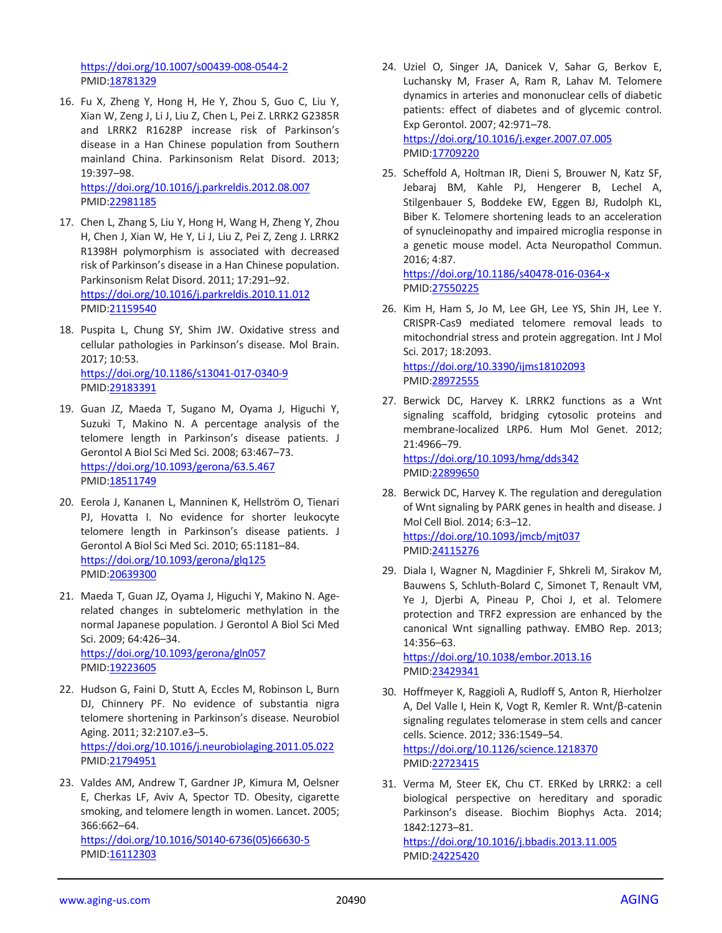<https://doi.org/10.1007/s00439-008-0544-2> PMID[:18781329](https://pubmed.ncbi.nlm.nih.gov/18781329)

16. Fu X, Zheng Y, Hong H, He Y, Zhou S, Guo C, Liu Y, Xian W, Zeng J, Li J, Liu Z, Chen L, Pei Z. LRRK2 G2385R and LRRK2 R1628P increase risk of Parkinson's disease in a Han Chinese population from Southern mainland China. Parkinsonism Relat Disord. 2013; 19:397–98. <https://doi.org/10.1016/j.parkreldis.2012.08.007>

PMID[:22981185](https://pubmed.ncbi.nlm.nih.gov/22981185)

- 17. Chen L, Zhang S, Liu Y, Hong H, Wang H, Zheng Y, Zhou H, Chen J, Xian W, He Y, Li J, Liu Z, Pei Z, Zeng J. LRRK2 R1398H polymorphism is associated with decreased risk of Parkinson's disease in a Han Chinese population. Parkinsonism Relat Disord. 2011; 17:291–92. <https://doi.org/10.1016/j.parkreldis.2010.11.012> PMID[:21159540](https://pubmed.ncbi.nlm.nih.gov/21159540)
- 18. Puspita L, Chung SY, Shim JW. Oxidative stress and cellular pathologies in Parkinson's disease. Mol Brain. 2017; 10:53. <https://doi.org/10.1186/s13041-017-0340-9> PMID[:29183391](https://pubmed.ncbi.nlm.nih.gov/29183391)
- 19. Guan JZ, Maeda T, Sugano M, Oyama J, Higuchi Y, Suzuki T, Makino N. A percentage analysis of the telomere length in Parkinson's disease patients. J Gerontol A Biol Sci Med Sci. 2008; 63:467–73. <https://doi.org/10.1093/gerona/63.5.467> PMID[:18511749](https://pubmed.ncbi.nlm.nih.gov/18511749)
- 20. Eerola J, Kananen L, Manninen K, Hellström O, Tienari PJ, Hovatta I. No evidence for shorter leukocyte telomere length in Parkinson's disease patients. J Gerontol A Biol Sci Med Sci. 2010; 65:1181–84. <https://doi.org/10.1093/gerona/glq125> PMID[:20639300](https://pubmed.ncbi.nlm.nih.gov/20639300)
- 21. Maeda T, Guan JZ, Oyama J, Higuchi Y, Makino N. Agerelated changes in subtelomeric methylation in the normal Japanese population. J Gerontol A Biol Sci Med Sci. 2009; 64:426–34. <https://doi.org/10.1093/gerona/gln057> PMID[:19223605](https://pubmed.ncbi.nlm.nih.gov/19223605)
- 22. Hudson G, Faini D, Stutt A, Eccles M, Robinson L, Burn DJ, Chinnery PF. No evidence of substantia nigra telomere shortening in Parkinson's disease. Neurobiol Aging. 2011; 32:2107.e3–5. <https://doi.org/10.1016/j.neurobiolaging.2011.05.022> PMID[:21794951](https://pubmed.ncbi.nlm.nih.gov/21794951)
- 23. Valdes AM, Andrew T, Gardner JP, Kimura M, Oelsner E, Cherkas LF, Aviv A, Spector TD. Obesity, cigarette smoking, and telomere length in women. Lancet. 2005; 366:662–64.

[https://doi.org/10.1016/S0140-6736\(05\)66630-5](https://doi.org/10.1016/S0140-6736(05)66630-5) PMID: 16112303

- 24. Uziel O, Singer JA, Danicek V, Sahar G, Berkov E, Luchansky M, Fraser A, Ram R, Lahav M. Telomere dynamics in arteries and mononuclear cells of diabetic patients: effect of diabetes and of glycemic control. Exp Gerontol. 2007; 42:971–78. <https://doi.org/10.1016/j.exger.2007.07.005> PMI[D:17709220](https://pubmed.ncbi.nlm.nih.gov/17709220)
- 25. Scheffold A, Holtman IR, Dieni S, Brouwer N, Katz SF, Jebaraj BM, Kahle PJ, Hengerer B, Lechel A, Stilgenbauer S, Boddeke EW, Eggen BJ, Rudolph KL, Biber K. Telomere shortening leads to an acceleration of synucleinopathy and impaired microglia response in a genetic mouse model. Acta Neuropathol Commun. 2016; 4:87.

<https://doi.org/10.1186/s40478-016-0364-x> PMI[D:27550225](https://pubmed.ncbi.nlm.nih.gov/27550225)

- 26. Kim H, Ham S, Jo M, Lee GH, Lee YS, Shin JH, Lee Y. CRISPR-Cas9 mediated telomere removal leads to mitochondrial stress and protein aggregation. Int J Mol Sci. 2017; 18:2093. <https://doi.org/10.3390/ijms18102093> PMI[D:28972555](https://pubmed.ncbi.nlm.nih.gov/28972555)
- 27. Berwick DC, Harvey K. LRRK2 functions as a Wnt signaling scaffold, bridging cytosolic proteins and membrane-localized LRP6. Hum Mol Genet. 2012; 21:4966–79. <https://doi.org/10.1093/hmg/dds342>

PMI[D:22899650](https://pubmed.ncbi.nlm.nih.gov/22899650)

- 28. Berwick DC, Harvey K. The regulation and deregulation of Wnt signaling by PARK genes in health and disease. J Mol Cell Biol. 2014; 6:3–12. <https://doi.org/10.1093/jmcb/mjt037> PMI[D:24115276](https://pubmed.ncbi.nlm.nih.gov/24115276)
- 29. Diala I, Wagner N, Magdinier F, Shkreli M, Sirakov M, Bauwens S, Schluth-Bolard C, Simonet T, Renault VM, Ye J, Djerbi A, Pineau P, Choi J, et al. Telomere protection and TRF2 expression are enhanced by the canonical Wnt signalling pathway. EMBO Rep. 2013; 14:356–63.

<https://doi.org/10.1038/embor.2013.16> PMI[D:23429341](https://pubmed.ncbi.nlm.nih.gov/23429341)

- 30. Hoffmeyer K, Raggioli A, Rudloff S, Anton R, Hierholzer A, Del Valle I, Hein K, Vogt R, Kemler R. Wnt/β-catenin signaling regulates telomerase in stem cells and cancer cells. Science. 2012; 336:1549–54. <https://doi.org/10.1126/science.1218370> PMI[D:22723415](https://pubmed.ncbi.nlm.nih.gov/22723415)
- 31. Verma M, Steer EK, Chu CT. ERKed by LRRK2: a cell biological perspective on hereditary and sporadic Parkinson's disease. Biochim Biophys Acta. 2014; 1842:1273–81.

<https://doi.org/10.1016/j.bbadis.2013.11.005> PMI[D:24225420](https://pubmed.ncbi.nlm.nih.gov/24225420)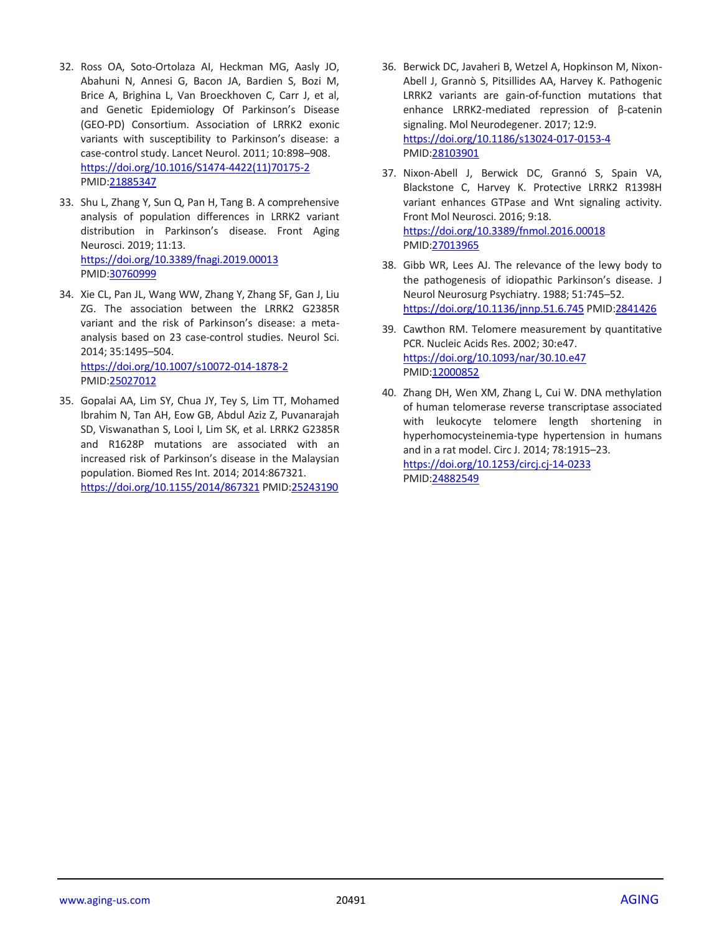- 32. Ross OA, Soto-Ortolaza AI, Heckman MG, Aasly JO, Abahuni N, Annesi G, Bacon JA, Bardien S, Bozi M, Brice A, Brighina L, Van Broeckhoven C, Carr J, et al, and Genetic Epidemiology Of Parkinson's Disease (GEO-PD) Consortium. Association of LRRK2 exonic variants with susceptibility to Parkinson's disease: a case-control study. Lancet Neurol. 2011; 10:898–908. [https://doi.org/10.1016/S1474-4422\(11\)70175-2](https://doi.org/10.1016/S1474-4422(11)70175-2) PMID[:21885347](https://pubmed.ncbi.nlm.nih.gov/21885347)
- 33. Shu L, Zhang Y, Sun Q, Pan H, Tang B. A comprehensive analysis of population differences in LRRK2 variant distribution in Parkinson's disease. Front Aging Neurosci. 2019; 11:13. <https://doi.org/10.3389/fnagi.2019.00013> PMID[:30760999](https://pubmed.ncbi.nlm.nih.gov/30760999)
- 34. Xie CL, Pan JL, Wang WW, Zhang Y, Zhang SF, Gan J, Liu ZG. The association between the LRRK2 G2385R variant and the risk of Parkinson's disease: a metaanalysis based on 23 case-control studies. Neurol Sci. 2014; 35:1495–504. <https://doi.org/10.1007/s10072-014-1878-2> PMID[:25027012](https://pubmed.ncbi.nlm.nih.gov/25027012)
- 35. Gopalai AA, Lim SY, Chua JY, Tey S, Lim TT, Mohamed Ibrahim N, Tan AH, Eow GB, Abdul Aziz Z, Puvanarajah SD, Viswanathan S, Looi I, Lim SK, et al. LRRK2 G2385R and R1628P mutations are associated with an increased risk of Parkinson's disease in the Malaysian population. Biomed Res Int. 2014; 2014:867321. <https://doi.org/10.1155/2014/867321> PMID[:25243190](https://pubmed.ncbi.nlm.nih.gov/25243190)
- 36. Berwick DC, Javaheri B, Wetzel A, Hopkinson M, Nixon-Abell J, Grannò S, Pitsillides AA, Harvey K. Pathogenic LRRK2 variants are gain-of-function mutations that enhance LRRK2-mediated repression of β-catenin signaling. Mol Neurodegener. 2017; 12:9. <https://doi.org/10.1186/s13024-017-0153-4> PMI[D:28103901](https://pubmed.ncbi.nlm.nih.gov/28103901)
- 37. Nixon-Abell J, Berwick DC, Grannó S, Spain VA, Blackstone C, Harvey K. Protective LRRK2 R1398H variant enhances GTPase and Wnt signaling activity. Front Mol Neurosci. 2016; 9:18. <https://doi.org/10.3389/fnmol.2016.00018> PMI[D:27013965](https://pubmed.ncbi.nlm.nih.gov/27013965)
- 38. Gibb WR, Lees AJ. The relevance of the lewy body to the pathogenesis of idiopathic Parkinson's disease. J Neurol Neurosurg Psychiatry. 1988; 51:745–52. <https://doi.org/10.1136/jnnp.51.6.745> PMID[:2841426](https://pubmed.ncbi.nlm.nih.gov/2841426)
- 39. Cawthon RM. Telomere measurement by quantitative PCR. Nucleic Acids Res. 2002; 30:e47. <https://doi.org/10.1093/nar/30.10.e47> PMI[D:12000852](https://pubmed.ncbi.nlm.nih.gov/12000852)
- 40. Zhang DH, Wen XM, Zhang L, Cui W. DNA methylation of human telomerase reverse transcriptase associated with leukocyte telomere length shortening in hyperhomocysteinemia-type hypertension in humans and in a rat model. Circ J. 2014; 78:1915–23. <https://doi.org/10.1253/circj.cj-14-0233> PMI[D:24882549](https://pubmed.ncbi.nlm.nih.gov/24882549)